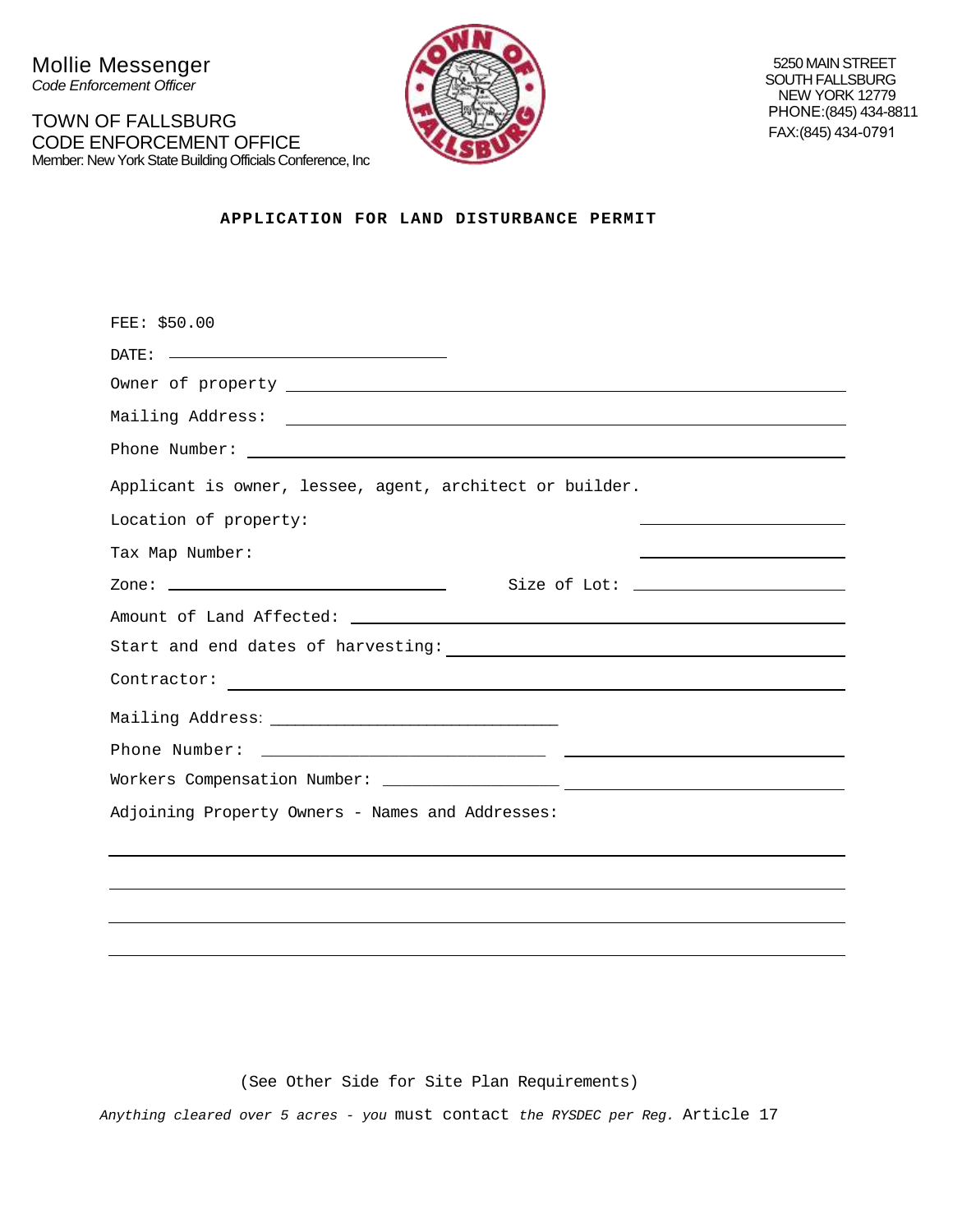Mollie Messenger *Code Enforcement Officer*

TOWN OF FALLSBURG CODE ENFORCEMENT OFFICE Member: New York State Building Officials Conference, Inc



5250 MAIN STREET SOUTH FALLSBURG NEW YORK 12779 PHONE:(845) 434-8811 FAX: (845) 434-0791

**APPLICATION FOR LAND DISTURBANCE PERMIT**

| FEE: \$50.00                                                                   |
|--------------------------------------------------------------------------------|
|                                                                                |
|                                                                                |
|                                                                                |
|                                                                                |
| Applicant is owner, lessee, agent, architect or builder.                       |
| Location of property:                                                          |
| Tax Map Number:<br><u> 1989 - Andrea Stadt Britain, amerikansk politiker (</u> |
|                                                                                |
|                                                                                |
|                                                                                |
|                                                                                |
|                                                                                |
|                                                                                |
|                                                                                |
| Adjoining Property Owners - Names and Addresses:                               |
|                                                                                |
|                                                                                |

(See Other Side for Site Plan Requirements)

*Anything cleared over 5 acres - you* must contact *the RYSDEC per Reg.* Article 17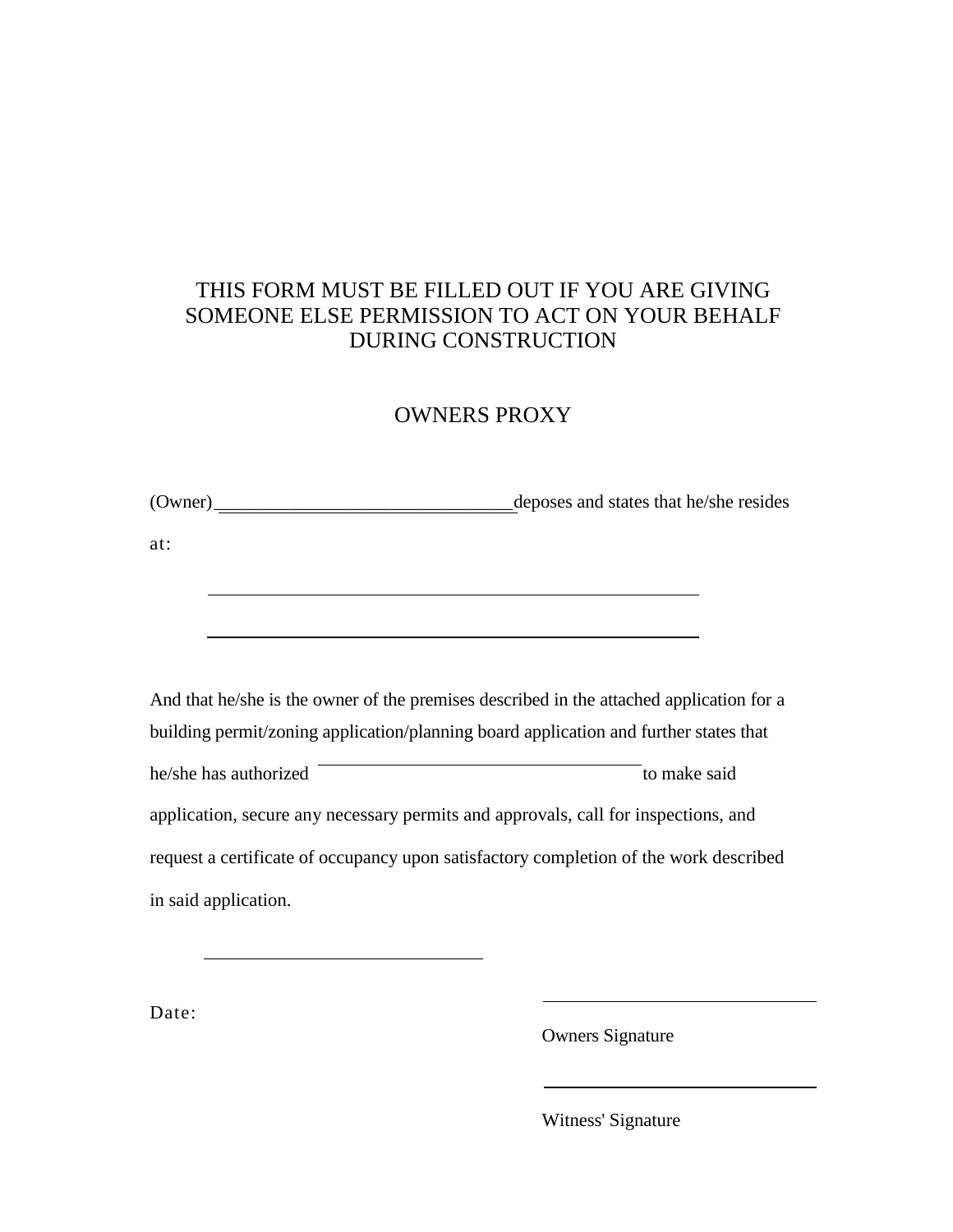## THIS FORM MUST BE FILLED OUT IF YOU ARE GIVING SOMEONE ELSE PERMISSION TO ACT ON YOUR BEHALF DURING CONSTRUCTION

## OWNERS PROXY

(Owner)\_\_\_\_\_\_\_\_\_\_\_\_\_\_\_\_\_\_\_\_\_\_\_\_\_\_\_\_\_\_\_\_deposes and states that he/she resides

at:

And that he/she is the owner of the premises described in the attached application for a building permit/zoning application/planning board application and further states that he/she has authorized to make said application, secure any necessary permits and approvals, call for inspections, and request a certificate of occupancy upon satisfactory completion of the work described in said application.

Date:

Owners Signature

Witness' Signature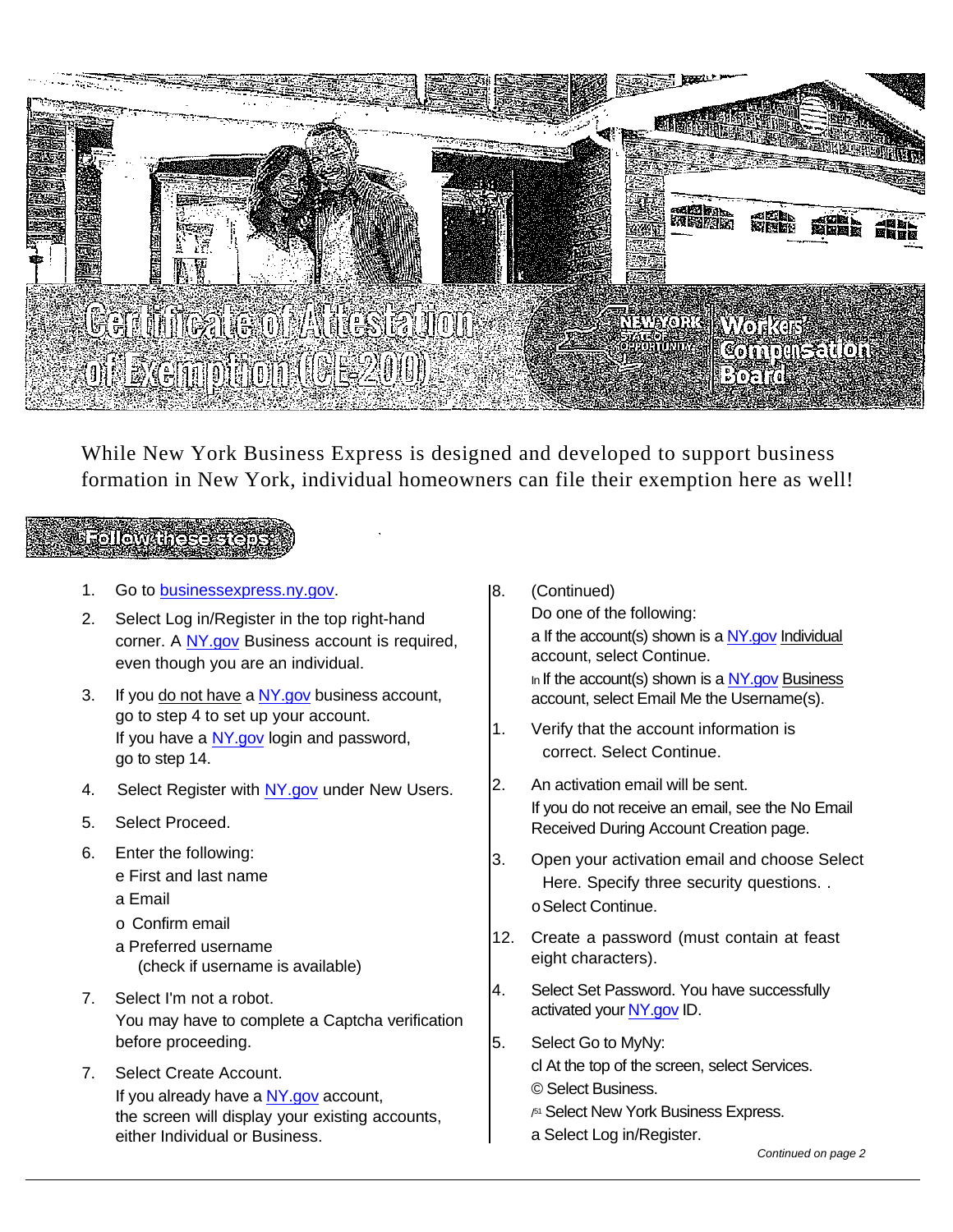

While New York Business Express is designed and developed to support business formation in New York, individual homeowners can file their exemption here as well!

## Followanese

- 1. Go to [businessexpress.ny.gov.](http://businessexpress.ny.gov/)
- 2. Select Log in/Register in the top right-hand corner. A [NY.gov](http://ny.gov/) Business account is required, even though you are an individual.
- 3. If you do not have a [NY.gov](http://ny.gov/) business account, go to step 4 to set up your account. If you have a [NY.gov](http://ny.gov/) login and password, go to step 14.
- 4. Select Register with [NY.gov](http://ny.gov/) under New Users.
- 5. Select Proceed.
- 6. Enter the following:
	- e First and last name
	- a Email
	- o Confirm email
	- a Preferred username (check if username is available)
- 7. Select I'm not a robot. You may have to complete a Captcha verification before proceeding.
- 7. Select Create Account. If you already have a [NY.gov](http://ny.gov/) account, the screen will display your existing accounts, either Individual or Business.
- 8. (Continued) Do one of the following: a If the account(s) shown is a [NY.gov](http://ny.gov/) Individual account, select Continue. In If the account(s) shown is a  $NY.gov$  Business account, select Email Me the Username(s).
- 1. Verify that the account information is correct. Select Continue.
- 2. An activation email will be sent. If you do not receive an email, see the No Email Received During Account Creation page.
- 3. Open your activation email and choose Select Here. Specify three security questions. . oSelect Continue.
- 12. Create a password (must contain at feast eight characters).
- 4. Select Set Password. You have successfully activated your [NY.gov](http://ny.gov/) ID.
- 5. Select Go to MyNy: cl At the top of the screen, select Services. © Select Business.
	- / <sup>51</sup> Select New York Business Express.
	- a Select Log in/Register.